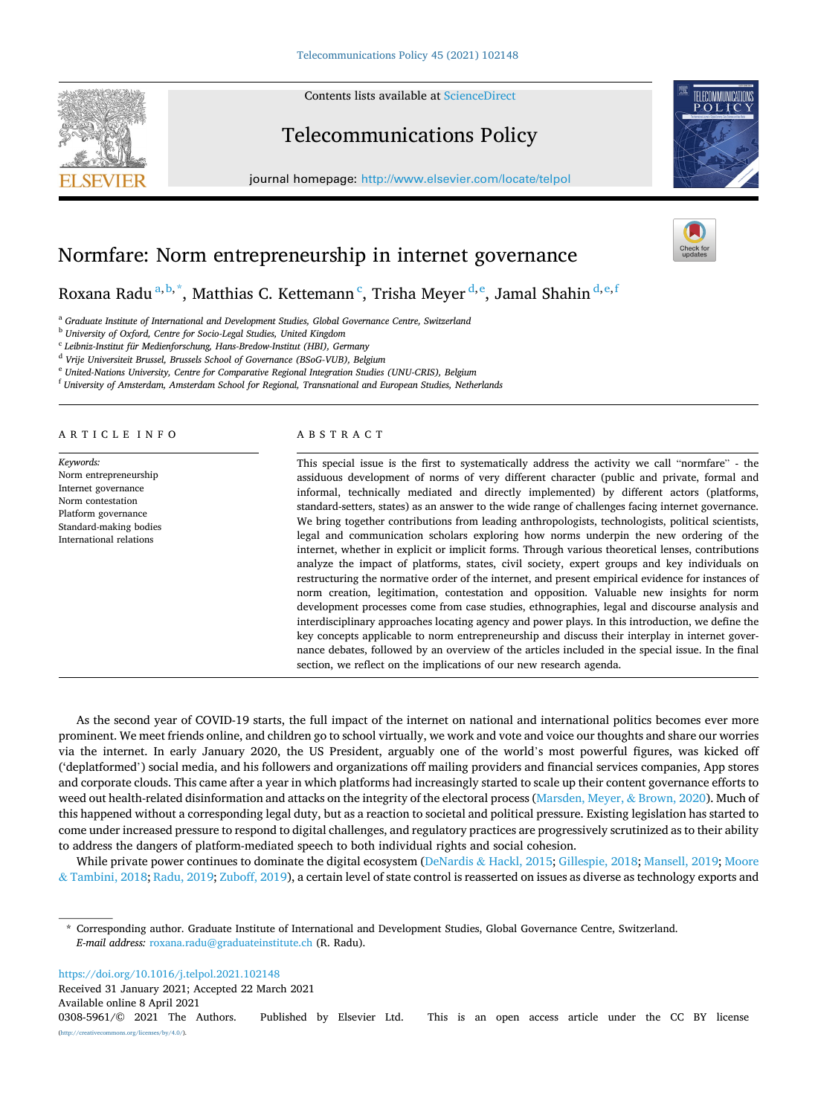Contents lists available at [ScienceDirect](www.sciencedirect.com/science/journal/03085961)





journal homepage: [http://www.elsevier.com/locate/telpol](https://http://www.elsevier.com/locate/telpol)



# Normfare: Norm entrepreneurship in internet governance

Roxana Radu<sup>a, b,</sup> \*, Matthias C. Kettemann <sup>c</sup>, Trisha Meyer <sup>d, e</sup>, Jamal Shahin <sup>d, e, f</sup>

<sup>a</sup> *Graduate Institute of International and Development Studies, Global Governance Centre, Switzerland* 

<sup>b</sup> *University of Oxford, Centre for Socio-Legal Studies, United Kingdom* 

<sup>c</sup> *Leibniz-Institut für Medienforschung, Hans-Bredow-Institut (HBI), Germany* 

<sup>d</sup> *Vrije Universiteit Brussel, Brussels School of Governance (BSoG-VUB), Belgium* 

<sup>e</sup> *United-Nations University, Centre for Comparative Regional Integration Studies (UNU-CRIS), Belgium* 

<sup>f</sup> *University of Amsterdam, Amsterdam School for Regional, Transnational and European Studies, Netherlands* 

ARTICLE INFO

*Keywords:*  Norm entrepreneurship Internet governance Norm contestation Platform governance Standard-making bodies International relations

### ABSTRACT

This special issue is the first to systematically address the activity we call "normfare" - the assiduous development of norms of very different character (public and private, formal and informal, technically mediated and directly implemented) by different actors (platforms, standard-setters, states) as an answer to the wide range of challenges facing internet governance. We bring together contributions from leading anthropologists, technologists, political scientists, legal and communication scholars exploring how norms underpin the new ordering of the internet, whether in explicit or implicit forms. Through various theoretical lenses, contributions analyze the impact of platforms, states, civil society, expert groups and key individuals on restructuring the normative order of the internet, and present empirical evidence for instances of norm creation, legitimation, contestation and opposition. Valuable new insights for norm development processes come from case studies, ethnographies, legal and discourse analysis and interdisciplinary approaches locating agency and power plays. In this introduction, we define the key concepts applicable to norm entrepreneurship and discuss their interplay in internet governance debates, followed by an overview of the articles included in the special issue. In the final section, we reflect on the implications of our new research agenda.

As the second year of COVID-19 starts, the full impact of the internet on national and international politics becomes ever more prominent. We meet friends online, and children go to school virtually, we work and vote and voice our thoughts and share our worries via the internet. In early January 2020, the US President, arguably one of the world's most powerful figures, was kicked off ('deplatformed') social media, and his followers and organizations off mailing providers and financial services companies, App stores and corporate clouds. This came after a year in which platforms had increasingly started to scale up their content governance efforts to weed out health-related disinformation and attacks on the integrity of the electoral process [\(Marsden, Meyer,](#page-5-0) & Brown, 2020). Much of this happened without a corresponding legal duty, but as a reaction to societal and political pressure. Existing legislation has started to come under increased pressure to respond to digital challenges, and regulatory practices are progressively scrutinized as to their ability to address the dangers of platform-mediated speech to both individual rights and social cohesion.

While private power continues to dominate the digital ecosystem (DeNardis & [Hackl, 2015; Gillespie, 2018; Mansell, 2019](#page-5-0); [Moore](#page-5-0) & [Tambini, 2018](#page-5-0); [Radu, 2019](#page-5-0); [Zuboff, 2019](#page-6-0)), a certain level of state control is reasserted on issues as diverse as technology exports and

<https://doi.org/10.1016/j.telpol.2021.102148>

Available online 8 April 2021 0308-5961/© 2021 The Authors. Published by Elsevier Ltd. This is an open access article under the CC BY license [\(http://creativecommons.org/licenses/by/4.0/\)](http://creativecommons.org/licenses/by/4.0/). Received 31 January 2021; Accepted 22 March 2021

<sup>\*</sup> Corresponding author. Graduate Institute of International and Development Studies, Global Governance Centre, Switzerland. *E-mail address:* [roxana.radu@graduateinstitute.ch](mailto:roxana.radu@graduateinstitute.ch) (R. Radu).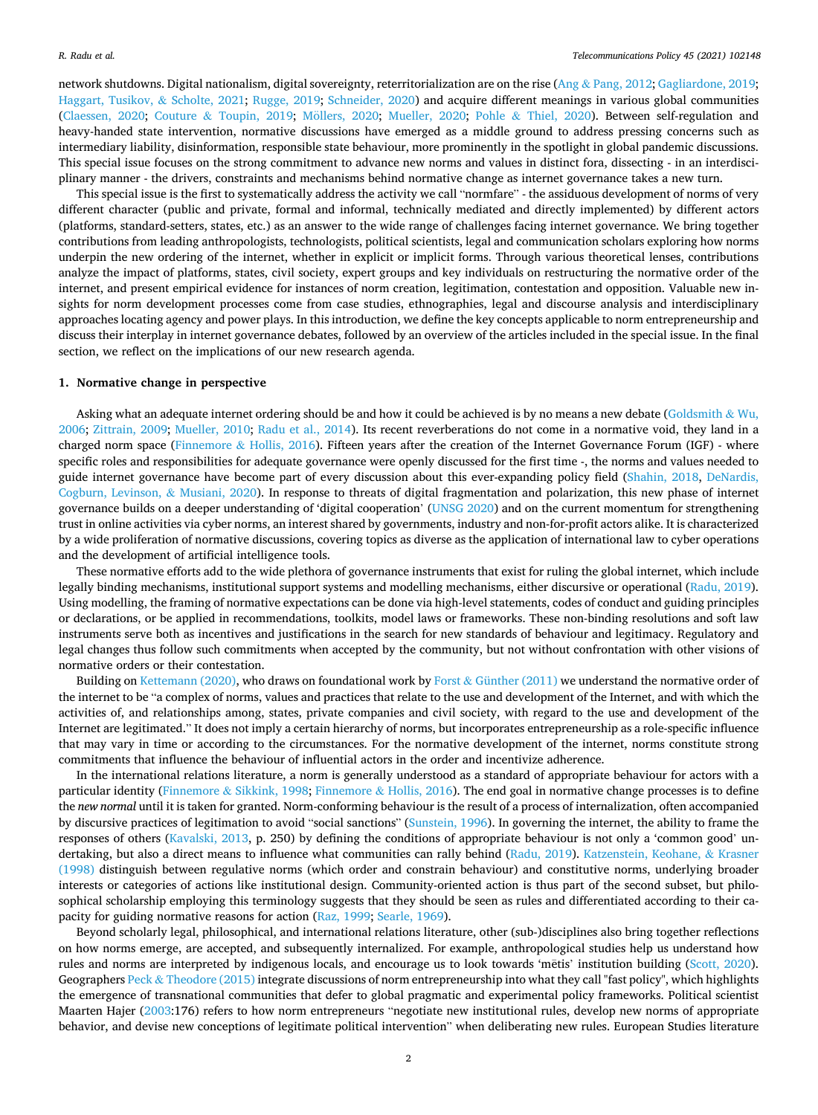network shutdowns. Digital nationalism, digital sovereignty, reterritorialization are on the rise (Ang & [Pang, 2012](#page-5-0); [Gagliardone, 2019](#page-5-0); [Haggart, Tusikov,](#page-5-0) & Scholte, 2021; [Rugge, 2019](#page-5-0); [Schneider, 2020](#page-5-0)) and acquire different meanings in various global communities [\(Claessen, 2020](#page-5-0); Couture & [Toupin, 2019](#page-5-0); Möllers, 2020; [Mueller, 2020](#page-5-0); Pohle & [Thiel, 2020\)](#page-5-0). Between self-regulation and heavy-handed state intervention, normative discussions have emerged as a middle ground to address pressing concerns such as intermediary liability, disinformation, responsible state behaviour, more prominently in the spotlight in global pandemic discussions. This special issue focuses on the strong commitment to advance new norms and values in distinct fora, dissecting - in an interdisciplinary manner - the drivers, constraints and mechanisms behind normative change as internet governance takes a new turn.

This special issue is the first to systematically address the activity we call "normfare" - the assiduous development of norms of very different character (public and private, formal and informal, technically mediated and directly implemented) by different actors (platforms, standard-setters, states, etc.) as an answer to the wide range of challenges facing internet governance. We bring together contributions from leading anthropologists, technologists, political scientists, legal and communication scholars exploring how norms underpin the new ordering of the internet, whether in explicit or implicit forms. Through various theoretical lenses, contributions analyze the impact of platforms, states, civil society, expert groups and key individuals on restructuring the normative order of the internet, and present empirical evidence for instances of norm creation, legitimation, contestation and opposition. Valuable new insights for norm development processes come from case studies, ethnographies, legal and discourse analysis and interdisciplinary approaches locating agency and power plays. In this introduction, we define the key concepts applicable to norm entrepreneurship and discuss their interplay in internet governance debates, followed by an overview of the articles included in the special issue. In the final section, we reflect on the implications of our new research agenda.

#### **1. Normative change in perspective**

Asking what an adequate internet ordering should be and how it could be achieved is by no means a new debate ([Goldsmith](#page-5-0) & Wu, [2006;](#page-5-0) [Zittrain, 2009](#page-6-0); [Mueller, 2010;](#page-5-0) [Radu et al., 2014\)](#page-5-0). Its recent reverberations do not come in a normative void, they land in a charged norm space (Finnemore  $\&$  [Hollis, 2016\)](#page-5-0). Fifteen years after the creation of the Internet Governance Forum (IGF) - where specific roles and responsibilities for adequate governance were openly discussed for the first time -, the norms and values needed to guide internet governance have become part of every discussion about this ever-expanding policy field ([Shahin, 2018](#page-5-0), [DeNardis,](#page-5-0) [Cogburn, Levinson,](#page-5-0) & Musiani, 2020). In response to threats of digital fragmentation and polarization, this new phase of internet governance builds on a deeper understanding of 'digital cooperation' ([UNSG 2020\)](#page-6-0) and on the current momentum for strengthening trust in online activities via cyber norms, an interest shared by governments, industry and non-for-profit actors alike. It is characterized by a wide proliferation of normative discussions, covering topics as diverse as the application of international law to cyber operations and the development of artificial intelligence tools.

These normative efforts add to the wide plethora of governance instruments that exist for ruling the global internet, which include legally binding mechanisms, institutional support systems and modelling mechanisms, either discursive or operational [\(Radu, 2019](#page-5-0)). Using modelling, the framing of normative expectations can be done via high-level statements, codes of conduct and guiding principles or declarations, or be applied in recommendations, toolkits, model laws or frameworks. These non-binding resolutions and soft law instruments serve both as incentives and justifications in the search for new standards of behaviour and legitimacy. Regulatory and legal changes thus follow such commitments when accepted by the community, but not without confrontation with other visions of normative orders or their contestation.

Building on [Kettemann \(2020\)](#page-5-0), who draws on foundational work by Forst & [Günther \(2011\)](#page-5-0) we understand the normative order of the internet to be "a complex of norms, values and practices that relate to the use and development of the Internet, and with which the activities of, and relationships among, states, private companies and civil society, with regard to the use and development of the Internet are legitimated." It does not imply a certain hierarchy of norms, but incorporates entrepreneurship as a role-specific influence that may vary in time or according to the circumstances. For the normative development of the internet, norms constitute strong commitments that influence the behaviour of influential actors in the order and incentivize adherence.

In the international relations literature, a norm is generally understood as a standard of appropriate behaviour for actors with a particular identity (Finnemore & [Sikkink, 1998;](#page-5-0) Finnemore & [Hollis, 2016](#page-5-0)). The end goal in normative change processes is to define the *new normal* until it is taken for granted. Norm-conforming behaviour is the result of a process of internalization, often accompanied by discursive practices of legitimation to avoid "social sanctions" [\(Sunstein, 1996\)](#page-6-0). In governing the internet, the ability to frame the responses of others ([Kavalski, 2013](#page-5-0), p. 250) by defining the conditions of appropriate behaviour is not only a 'common good' undertaking, but also a direct means to influence what communities can rally behind ([Radu, 2019\)](#page-5-0). [Katzenstein, Keohane,](#page-5-0) & Krasner [\(1998\)](#page-5-0) distinguish between regulative norms (which order and constrain behaviour) and constitutive norms, underlying broader interests or categories of actions like institutional design. Community-oriented action is thus part of the second subset, but philosophical scholarship employing this terminology suggests that they should be seen as rules and differentiated according to their capacity for guiding normative reasons for action [\(Raz, 1999; Searle, 1969](#page-5-0)).

Beyond scholarly legal, philosophical, and international relations literature, other (sub-)disciplines also bring together reflections on how norms emerge, are accepted, and subsequently internalized. For example, anthropological studies help us understand how rules and norms are interpreted by indigenous locals, and encourage us to look towards 'mētis' institution building [\(Scott, 2020](#page-5-0)). Geographers Peck & [Theodore \(2015\)](#page-5-0) integrate discussions of norm entrepreneurship into what they call "fast policy", which highlights the emergence of transnational communities that defer to global pragmatic and experimental policy frameworks. Political scientist Maarten Hajer [\(2003:](#page-5-0)176) refers to how norm entrepreneurs "negotiate new institutional rules, develop new norms of appropriate behavior, and devise new conceptions of legitimate political intervention" when deliberating new rules. European Studies literature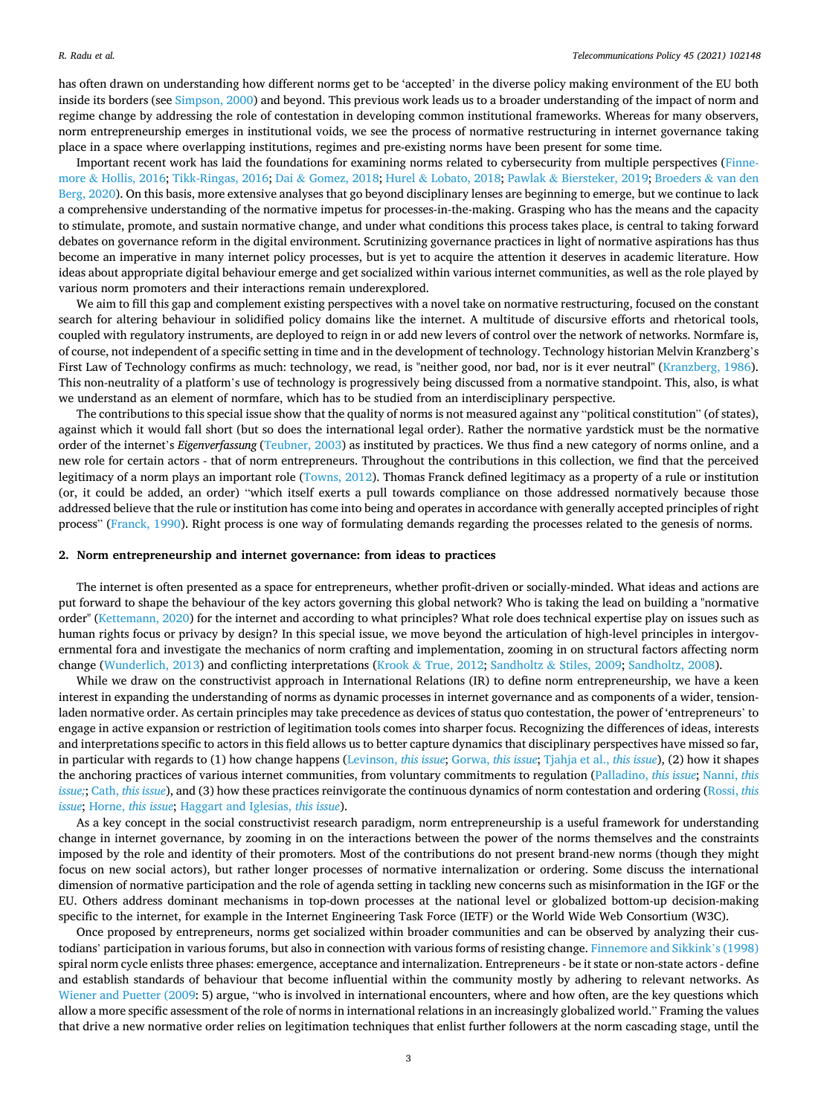has often drawn on understanding how different norms get to be 'accepted' in the diverse policy making environment of the EU both inside its borders (see [Simpson, 2000\)](#page-6-0) and beyond. This previous work leads us to a broader understanding of the impact of norm and regime change by addressing the role of contestation in developing common institutional frameworks. Whereas for many observers, norm entrepreneurship emerges in institutional voids, we see the process of normative restructuring in internet governance taking place in a space where overlapping institutions, regimes and pre-existing norms have been present for some time.

Important recent work has laid the foundations for examining norms related to cybersecurity from multiple perspectives [\(Finne](#page-5-0)more & [Hollis, 2016;](#page-5-0) [Tikk-Ringas, 2016](#page-6-0); Dai & [Gomez, 2018](#page-5-0); Hurel & [Lobato, 2018;](#page-5-0) Pawlak & [Biersteker, 2019; Broeders](#page-5-0) & van den [Berg, 2020\)](#page-5-0). On this basis, more extensive analyses that go beyond disciplinary lenses are beginning to emerge, but we continue to lack a comprehensive understanding of the normative impetus for processes-in-the-making. Grasping who has the means and the capacity to stimulate, promote, and sustain normative change, and under what conditions this process takes place, is central to taking forward debates on governance reform in the digital environment. Scrutinizing governance practices in light of normative aspirations has thus become an imperative in many internet policy processes, but is yet to acquire the attention it deserves in academic literature. How ideas about appropriate digital behaviour emerge and get socialized within various internet communities, as well as the role played by various norm promoters and their interactions remain underexplored.

We aim to fill this gap and complement existing perspectives with a novel take on normative restructuring, focused on the constant search for altering behaviour in solidified policy domains like the internet. A multitude of discursive efforts and rhetorical tools, coupled with regulatory instruments, are deployed to reign in or add new levers of control over the network of networks. Normfare is, of course, not independent of a specific setting in time and in the development of technology. Technology historian Melvin Kranzberg's First Law of Technology confirms as much: technology, we read, is "neither good, nor bad, nor is it ever neutral" [\(Kranzberg, 1986](#page-5-0)). This non-neutrality of a platform's use of technology is progressively being discussed from a normative standpoint. This, also, is what we understand as an element of normfare, which has to be studied from an interdisciplinary perspective.

The contributions to this special issue show that the quality of norms is not measured against any "political constitution" (of states), against which it would fall short (but so does the international legal order). Rather the normative yardstick must be the normative order of the internet's *Eigenverfassung* ([Teubner, 2003](#page-6-0)) as instituted by practices. We thus find a new category of norms online, and a new role for certain actors - that of norm entrepreneurs. Throughout the contributions in this collection, we find that the perceived legitimacy of a norm plays an important role [\(Towns, 2012\)](#page-6-0). Thomas Franck defined legitimacy as a property of a rule or institution (or, it could be added, an order) "which itself exerts a pull towards compliance on those addressed normatively because those addressed believe that the rule or institution has come into being and operates in accordance with generally accepted principles of right process" ([Franck, 1990](#page-5-0)). Right process is one way of formulating demands regarding the processes related to the genesis of norms.

#### **2. Norm entrepreneurship and internet governance: from ideas to practices**

The internet is often presented as a space for entrepreneurs, whether profit-driven or socially-minded. What ideas and actions are put forward to shape the behaviour of the key actors governing this global network? Who is taking the lead on building a "normative order" ([Kettemann, 2020](#page-5-0)) for the internet and according to what principles? What role does technical expertise play on issues such as human rights focus or privacy by design? In this special issue, we move beyond the articulation of high-level principles in intergovernmental fora and investigate the mechanics of norm crafting and implementation, zooming in on structural factors affecting norm change [\(Wunderlich, 2013\)](#page-6-0) and conflicting interpretations (Krook & [True, 2012](#page-5-0); Sandholtz & [Stiles, 2009;](#page-5-0) [Sandholtz, 2008](#page-5-0)).

While we draw on the constructivist approach in International Relations (IR) to define norm entrepreneurship, we have a keen interest in expanding the understanding of norms as dynamic processes in internet governance and as components of a wider, tensionladen normative order. As certain principles may take precedence as devices of status quo contestation, the power of 'entrepreneurs' to engage in active expansion or restriction of legitimation tools comes into sharper focus. Recognizing the differences of ideas, interests and interpretations specific to actors in this field allows us to better capture dynamics that disciplinary perspectives have missed so far, in particular with regards to (1) how change happens [\(Levinson,](#page-5-0) *this issue*; Gorwa, *[this issue](#page-5-0)*; [Tjahja et al.,](#page-6-0) *this issue*), (2) how it shapes the anchoring practices of various internet communities, from voluntary commitments to regulation [\(Palladino,](#page-5-0) *this issue*; [Nanni,](#page-5-0) *this [issue;](#page-5-0)*; Cath, *[this issue](#page-5-0)*), and (3) how these practices reinvigorate the continuous dynamics of norm contestation and ordering [\(Rossi,](#page-5-0) *this [issue](#page-5-0)*; Horne, *[this issue](#page-5-0)*; [Haggart and Iglesias,](#page-5-0) *this issue*).

As a key concept in the social constructivist research paradigm, norm entrepreneurship is a useful framework for understanding change in internet governance, by zooming in on the interactions between the power of the norms themselves and the constraints imposed by the role and identity of their promoters. Most of the contributions do not present brand-new norms (though they might focus on new social actors), but rather longer processes of normative internalization or ordering. Some discuss the international dimension of normative participation and the role of agenda setting in tackling new concerns such as misinformation in the IGF or the EU. Others address dominant mechanisms in top-down processes at the national level or globalized bottom-up decision-making specific to the internet, for example in the Internet Engineering Task Force (IETF) or the World Wide Web Consortium (W3C).

Once proposed by entrepreneurs, norms get socialized within broader communities and can be observed by analyzing their custodians' participation in various forums, but also in connection with various forms of resisting change. [Finnemore and Sikkink](#page-5-0)'s (1998) spiral norm cycle enlists three phases: emergence, acceptance and internalization. Entrepreneurs - be it state or non-state actors - define and establish standards of behaviour that become influential within the community mostly by adhering to relevant networks. As [Wiener and Puetter \(2009](#page-6-0): 5) argue, "who is involved in international encounters, where and how often, are the key questions which allow a more specific assessment of the role of norms in international relations in an increasingly globalized world." Framing the values that drive a new normative order relies on legitimation techniques that enlist further followers at the norm cascading stage, until the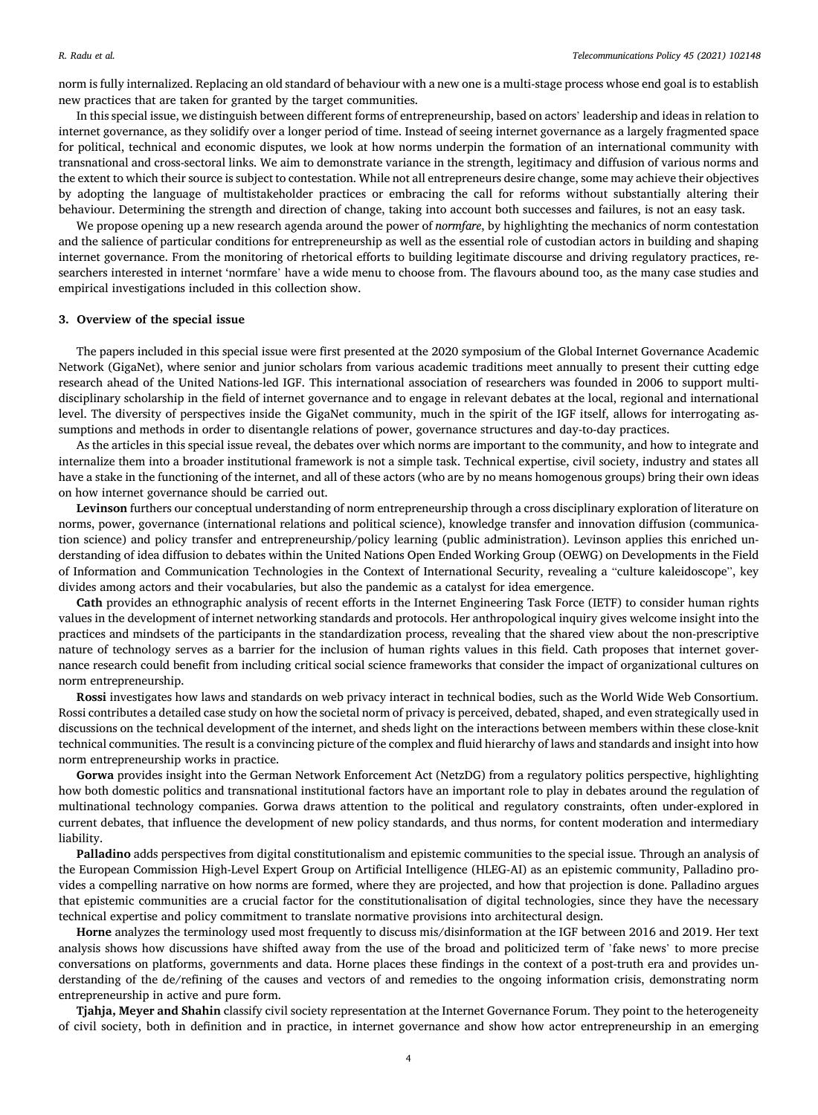norm is fully internalized. Replacing an old standard of behaviour with a new one is a multi-stage process whose end goal is to establish new practices that are taken for granted by the target communities.

In this special issue, we distinguish between different forms of entrepreneurship, based on actors' leadership and ideas in relation to internet governance, as they solidify over a longer period of time. Instead of seeing internet governance as a largely fragmented space for political, technical and economic disputes, we look at how norms underpin the formation of an international community with transnational and cross-sectoral links. We aim to demonstrate variance in the strength, legitimacy and diffusion of various norms and the extent to which their source is subject to contestation. While not all entrepreneurs desire change, some may achieve their objectives by adopting the language of multistakeholder practices or embracing the call for reforms without substantially altering their behaviour. Determining the strength and direction of change, taking into account both successes and failures, is not an easy task.

We propose opening up a new research agenda around the power of *normfare*, by highlighting the mechanics of norm contestation and the salience of particular conditions for entrepreneurship as well as the essential role of custodian actors in building and shaping internet governance. From the monitoring of rhetorical efforts to building legitimate discourse and driving regulatory practices, researchers interested in internet 'normfare' have a wide menu to choose from. The flavours abound too, as the many case studies and empirical investigations included in this collection show.

## **3. Overview of the special issue**

The papers included in this special issue were first presented at the 2020 symposium of the Global Internet Governance Academic Network (GigaNet), where senior and junior scholars from various academic traditions meet annually to present their cutting edge research ahead of the United Nations-led IGF. This international association of researchers was founded in 2006 to support multidisciplinary scholarship in the field of internet governance and to engage in relevant debates at the local, regional and international level. The diversity of perspectives inside the GigaNet community, much in the spirit of the IGF itself, allows for interrogating assumptions and methods in order to disentangle relations of power, governance structures and day-to-day practices.

As the articles in this special issue reveal, the debates over which norms are important to the community, and how to integrate and internalize them into a broader institutional framework is not a simple task. Technical expertise, civil society, industry and states all have a stake in the functioning of the internet, and all of these actors (who are by no means homogenous groups) bring their own ideas on how internet governance should be carried out.

**Levinson** furthers our conceptual understanding of norm entrepreneurship through a cross disciplinary exploration of literature on norms, power, governance (international relations and political science), knowledge transfer and innovation diffusion (communication science) and policy transfer and entrepreneurship/policy learning (public administration). Levinson applies this enriched understanding of idea diffusion to debates within the United Nations Open Ended Working Group (OEWG) on Developments in the Field of Information and Communication Technologies in the Context of International Security, revealing a "culture kaleidoscope", key divides among actors and their vocabularies, but also the pandemic as a catalyst for idea emergence.

**Cath** provides an ethnographic analysis of recent efforts in the Internet Engineering Task Force (IETF) to consider human rights values in the development of internet networking standards and protocols. Her anthropological inquiry gives welcome insight into the practices and mindsets of the participants in the standardization process, revealing that the shared view about the non-prescriptive nature of technology serves as a barrier for the inclusion of human rights values in this field. Cath proposes that internet governance research could benefit from including critical social science frameworks that consider the impact of organizational cultures on norm entrepreneurship.

**Rossi** investigates how laws and standards on web privacy interact in technical bodies, such as the World Wide Web Consortium. Rossi contributes a detailed case study on how the societal norm of privacy is perceived, debated, shaped, and even strategically used in discussions on the technical development of the internet, and sheds light on the interactions between members within these close-knit technical communities. The result is a convincing picture of the complex and fluid hierarchy of laws and standards and insight into how norm entrepreneurship works in practice.

**Gorwa** provides insight into the German Network Enforcement Act (NetzDG) from a regulatory politics perspective, highlighting how both domestic politics and transnational institutional factors have an important role to play in debates around the regulation of multinational technology companies. Gorwa draws attention to the political and regulatory constraints, often under-explored in current debates, that influence the development of new policy standards, and thus norms, for content moderation and intermediary liability.

**Palladino** adds perspectives from digital constitutionalism and epistemic communities to the special issue. Through an analysis of the European Commission High-Level Expert Group on Artificial Intelligence (HLEG-AI) as an epistemic community, Palladino provides a compelling narrative on how norms are formed, where they are projected, and how that projection is done. Palladino argues that epistemic communities are a crucial factor for the constitutionalisation of digital technologies, since they have the necessary technical expertise and policy commitment to translate normative provisions into architectural design.

**Horne** analyzes the terminology used most frequently to discuss mis/disinformation at the IGF between 2016 and 2019. Her text analysis shows how discussions have shifted away from the use of the broad and politicized term of 'fake news' to more precise conversations on platforms, governments and data. Horne places these findings in the context of a post-truth era and provides understanding of the de/refining of the causes and vectors of and remedies to the ongoing information crisis, demonstrating norm entrepreneurship in active and pure form.

**Tjahja, Meyer and Shahin** classify civil society representation at the Internet Governance Forum. They point to the heterogeneity of civil society, both in definition and in practice, in internet governance and show how actor entrepreneurship in an emerging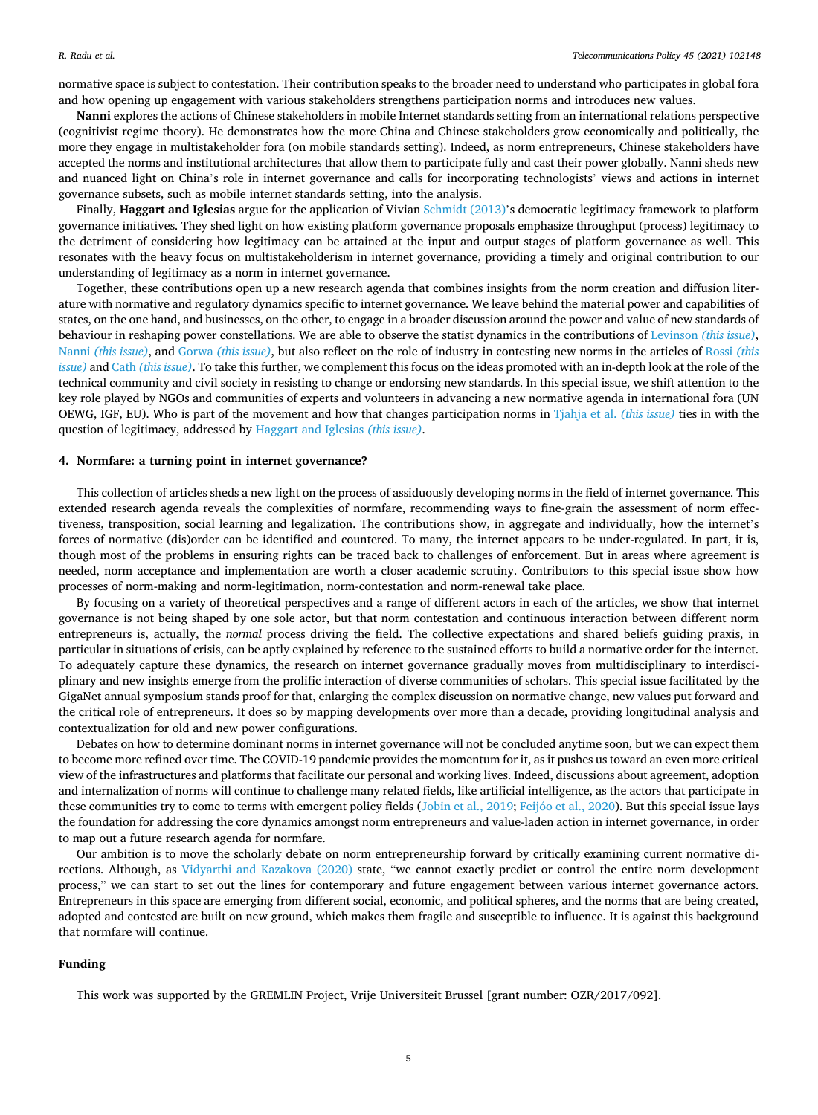normative space is subject to contestation. Their contribution speaks to the broader need to understand who participates in global fora and how opening up engagement with various stakeholders strengthens participation norms and introduces new values.

**Nanni** explores the actions of Chinese stakeholders in mobile Internet standards setting from an international relations perspective (cognitivist regime theory). He demonstrates how the more China and Chinese stakeholders grow economically and politically, the more they engage in multistakeholder fora (on mobile standards setting). Indeed, as norm entrepreneurs, Chinese stakeholders have accepted the norms and institutional architectures that allow them to participate fully and cast their power globally. Nanni sheds new and nuanced light on China's role in internet governance and calls for incorporating technologists' views and actions in internet governance subsets, such as mobile internet standards setting, into the analysis.

Finally, **Haggart and Iglesias** argue for the application of Vivian [Schmidt \(2013\)](#page-5-0)'s democratic legitimacy framework to platform governance initiatives. They shed light on how existing platform governance proposals emphasize throughput (process) legitimacy to the detriment of considering how legitimacy can be attained at the input and output stages of platform governance as well. This resonates with the heavy focus on multistakeholderism in internet governance, providing a timely and original contribution to our understanding of legitimacy as a norm in internet governance.

Together, these contributions open up a new research agenda that combines insights from the norm creation and diffusion literature with normative and regulatory dynamics specific to internet governance. We leave behind the material power and capabilities of states, on the one hand, and businesses, on the other, to engage in a broader discussion around the power and value of new standards of behaviour in reshaping power constellations. We are able to observe the statist dynamics in the contributions of Levinson *[\(this issue\)](#page-5-0)*, Nanni *[\(this issue\)](#page-5-0)*, and Gorwa *[\(this issue\)](#page-5-0)*, but also reflect on the role of industry in contesting new norms in the articles of [Rossi](#page-5-0) *(this [issue\)](#page-5-0)* and Cath *[\(this issue\)](#page-5-0)*. To take this further, we complement this focus on the ideas promoted with an in-depth look at the role of the technical community and civil society in resisting to change or endorsing new standards. In this special issue, we shift attention to the key role played by NGOs and communities of experts and volunteers in advancing a new normative agenda in international fora (UN OEWG, IGF, EU). Who is part of the movement and how that changes participation norms in [Tjahja et al.](#page-6-0) *(this issue)* ties in with the question of legitimacy, addressed by [Haggart and Iglesias](#page-5-0) *(this issue)*.

# **4. Normfare: a turning point in internet governance?**

This collection of articles sheds a new light on the process of assiduously developing norms in the field of internet governance. This extended research agenda reveals the complexities of normfare, recommending ways to fine-grain the assessment of norm effectiveness, transposition, social learning and legalization. The contributions show, in aggregate and individually, how the internet's forces of normative (dis)order can be identified and countered. To many, the internet appears to be under-regulated. In part, it is, though most of the problems in ensuring rights can be traced back to challenges of enforcement. But in areas where agreement is needed, norm acceptance and implementation are worth a closer academic scrutiny. Contributors to this special issue show how processes of norm-making and norm-legitimation, norm-contestation and norm-renewal take place.

By focusing on a variety of theoretical perspectives and a range of different actors in each of the articles, we show that internet governance is not being shaped by one sole actor, but that norm contestation and continuous interaction between different norm entrepreneurs is, actually, the *normal* process driving the field. The collective expectations and shared beliefs guiding praxis, in particular in situations of crisis, can be aptly explained by reference to the sustained efforts to build a normative order for the internet. To adequately capture these dynamics, the research on internet governance gradually moves from multidisciplinary to interdisciplinary and new insights emerge from the prolific interaction of diverse communities of scholars. This special issue facilitated by the GigaNet annual symposium stands proof for that, enlarging the complex discussion on normative change, new values put forward and the critical role of entrepreneurs. It does so by mapping developments over more than a decade, providing longitudinal analysis and contextualization for old and new power configurations.

Debates on how to determine dominant norms in internet governance will not be concluded anytime soon, but we can expect them to become more refined over time. The COVID-19 pandemic provides the momentum for it, as it pushes us toward an even more critical view of the infrastructures and platforms that facilitate our personal and working lives. Indeed, discussions about agreement, adoption and internalization of norms will continue to challenge many related fields, like artificial intelligence, as the actors that participate in these communities try to come to terms with emergent policy fields ([Jobin et al., 2019;](#page-5-0) Feijóo [et al., 2020](#page-5-0)). But this special issue lays the foundation for addressing the core dynamics amongst norm entrepreneurs and value-laden action in internet governance, in order to map out a future research agenda for normfare.

Our ambition is to move the scholarly debate on norm entrepreneurship forward by critically examining current normative directions. Although, as [Vidyarthi and Kazakova \(2020\)](#page-6-0) state, "we cannot exactly predict or control the entire norm development process," we can start to set out the lines for contemporary and future engagement between various internet governance actors. Entrepreneurs in this space are emerging from different social, economic, and political spheres, and the norms that are being created, adopted and contested are built on new ground, which makes them fragile and susceptible to influence. It is against this background that normfare will continue.

# **Funding**

This work was supported by the GREMLIN Project, Vrije Universiteit Brussel [grant number: OZR/2017/092].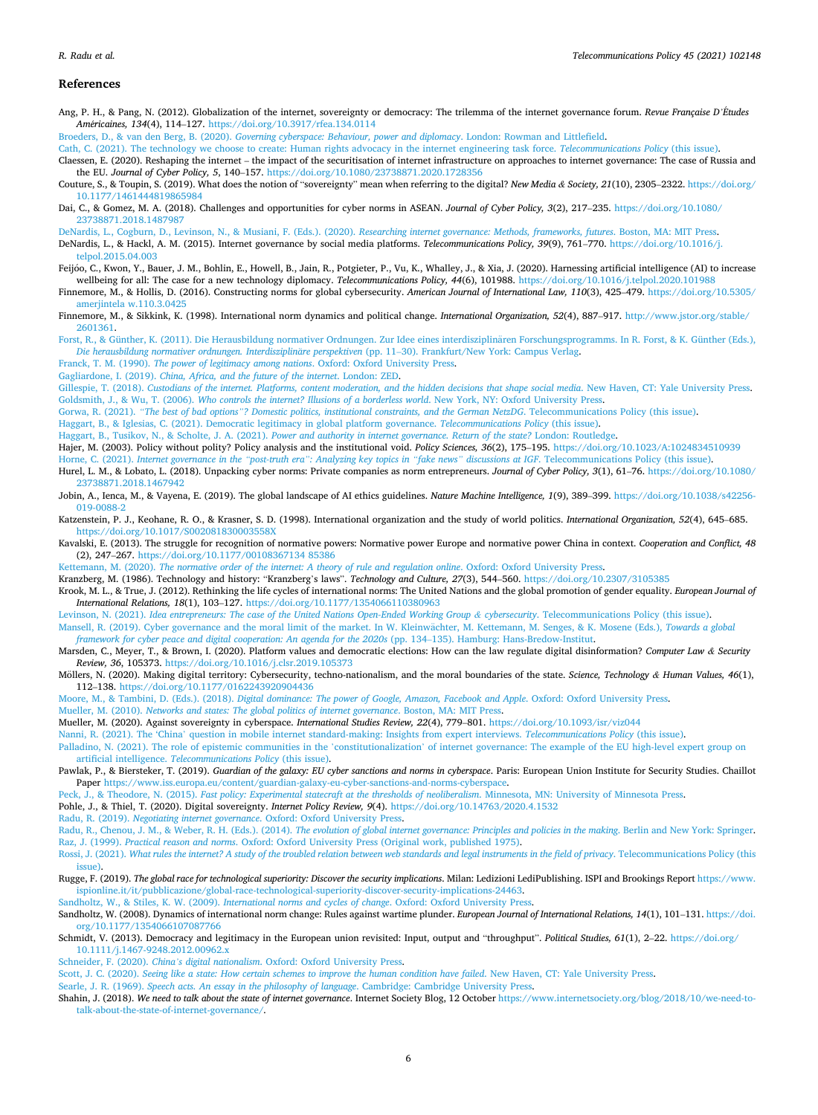#### <span id="page-5-0"></span>**References**

Ang, P. H., & Pang, N. (2012). Globalization of the internet, sovereignty or democracy: The trilemma of the internet governance forum. *Revue Française D'Etudes* ´ *Am*´*ericaines, 134*(4), 114–127. <https://doi.org/10.3917/rfea.134.0114>

Broeders, D., & van den Berg, B. (2020). *[Governing cyberspace: Behaviour, power and diplomacy](http://refhub.elsevier.com/S0308-5961(21)00052-5/sref2)*. London: Rowman and Littlefield.

- [Cath, C. \(2021\). The technology we choose to create: Human rights advocacy in the internet engineering task force.](http://refhub.elsevier.com/S0308-5961(21)00052-5/sref3) *Telecommunications Policy* (this issue).
- Claessen, E. (2020). Reshaping the internet the impact of the securitisation of internet infrastructure on approaches to internet governance: The case of Russia and the EU. *Journal of Cyber Policy, 5*, 140–157. <https://doi.org/10.1080/23738871.2020.1728356>
- Couture, S., & Toupin, S. (2019). What does the notion of "sovereignty" mean when referring to the digital? *New Media & Society, 21*(10), 2305–2322. [https://doi.org/](https://doi.org/10.1177/1461444819865984) [10.1177/1461444819865984](https://doi.org/10.1177/1461444819865984)
- Dai, C., & Gomez, M. A. (2018). Challenges and opportunities for cyber norms in ASEAN. *Journal of Cyber Policy, 3*(2), 217–235. [https://doi.org/10.1080/](https://doi.org/10.1080/23738871.2018.1487987)  [23738871.2018.1487987](https://doi.org/10.1080/23738871.2018.1487987)
- [DeNardis, L., Cogburn, D., Levinson, N., & Musiani, F. \(Eds.\). \(2020\).](http://refhub.elsevier.com/S0308-5961(21)00052-5/sref7) *Researching internet governance: Methods, frameworks, futures*. Boston, MA: MIT Press. DeNardis, L., & Hackl, A. M. (2015). Internet governance by social media platforms. *Telecommunications Policy, 39*(9), 761–770. [https://doi.org/10.1016/j.](https://doi.org/10.1016/j.telpol.2015.04.003)  [telpol.2015.04.003](https://doi.org/10.1016/j.telpol.2015.04.003)
- Feijóo, C., Kwon, Y., Bauer, J. M., Bohlin, E., Howell, B., Jain, R., Potgieter, P., Vu, K., Whalley, J., & Xia, J. (2020). Harnessing artificial intelligence (AI) to increase wellbeing for all: The case for a new technology diplomacy. *Telecommunications Policy, 44*(6), 101988.<https://doi.org/10.1016/j.telpol.2020.101988>
- Finnemore, M., & Hollis, D. (2016). Constructing norms for global cybersecurity. *American Journal of International Law, 110*(3), 425–479. [https://doi.org/10.5305/](https://doi.org/10.5305/amerjintela w.110.3.0425) [amerjintela w.110.3.0425](https://doi.org/10.5305/amerjintela w.110.3.0425)
- Finnemore, M., & Sikkink, K. (1998). International norm dynamics and political change. *International Organization, 52*(4), 887–917. [http://www.jstor.org/stable/](http://www.jstor.org/stable/2601361) [2601361](http://www.jstor.org/stable/2601361).
- Forst, R., & Günther, K. (2011). Die Herausbildung normativer Ordnungen. Zur Idee eines interdisziplinären Forschungsprogramms. In R. Forst, & K. Günther (Eds.), Die herausbildung normativer ordnungen. Interdisziplinäre perspektiven (pp. 11–30). Frankfurt/New York: Campus Verlag.

Franck, T. M. (1990). *[The power of legitimacy among nations](http://refhub.elsevier.com/S0308-5961(21)00052-5/sref13)*. Oxford: Oxford University Press.

- Gagliardone, I. (2019). *[China, Africa, and the future of the internet](http://refhub.elsevier.com/S0308-5961(21)00052-5/sref14)*. London: ZED.
- Gillespie, T. (2018). *[Custodians of the internet. Platforms, content moderation, and the hidden decisions that shape social media](http://refhub.elsevier.com/S0308-5961(21)00052-5/sref15)*. New Haven, CT: Yale University Press. Goldsmith, J., & Wu, T. (2006). *[Who controls the internet? Illusions of a borderless world](http://refhub.elsevier.com/S0308-5961(21)00052-5/sref16)*. New York, NY: Oxford University Press.
- Gorwa, R. (2021). *"The best of bad options"[? Domestic politics, institutional constraints, and the German NetzDG](http://refhub.elsevier.com/S0308-5961(21)00052-5/sref17)*. Telecommunications Policy (this issue).
- [Haggart, B., & Iglesias, C. \(2021\). Democratic legitimacy in global platform governance.](http://refhub.elsevier.com/S0308-5961(21)00052-5/sref18) *Telecommunications Policy* (this issue).
- Haggart, B., Tusikov, N., & Scholte, J. A. (2021). *[Power and authority in internet governance. Return of the state?](http://refhub.elsevier.com/S0308-5961(21)00052-5/sref19)* London: Routledge. Hajer, M. (2003). Policy without polity? Policy analysis and the institutional void. *Policy Sciences, 36*(2), 175–195. <https://doi.org/10.1023/A:1024834510939>
- Horne, C. (2021). *Internet governance in the "post-truth era": Analyzing key topics in "fake news" discussions at IGF*[. Telecommunications Policy \(this issue\)](http://refhub.elsevier.com/S0308-5961(21)00052-5/sref21).
- Hurel, L. M., & Lobato, L. (2018). Unpacking cyber norms: Private companies as norm entrepreneurs. *Journal of Cyber Policy, 3*(1), 61–76. [https://doi.org/10.1080/](https://doi.org/10.1080/23738871.2018.1467942) [23738871.2018.1467942](https://doi.org/10.1080/23738871.2018.1467942)
- Jobin, A., Ienca, M., & Vayena, E. (2019). The global landscape of AI ethics guidelines. *Nature Machine Intelligence, 1*(9), 389–399. [https://doi.org/10.1038/s42256-](https://doi.org/10.1038/s42256-019-0088-2) [019-0088-2](https://doi.org/10.1038/s42256-019-0088-2)
- Katzenstein, P. J., Keohane, R. O., & Krasner, S. D. (1998). International organization and the study of world politics. *International Organization, 52*(4), 645–685. <https://doi.org/10.1017/S002081830003558X>
- Kavalski, E. (2013). The struggle for recognition of normative powers: Normative power Europe and normative power China in context. *Cooperation and Conflict, 48*  (2), 247–267. <https://doi.org/10.1177/00108367134 85386>
- Kettemann, M. (2020). *[The normative order of the internet: A theory of rule and regulation online](http://refhub.elsevier.com/S0308-5961(21)00052-5/sref26)*. Oxford: Oxford University Press.
- Kranzberg, M. (1986). Technology and history: "Kranzberg's laws". *Technology and Culture, 27*(3), 544–560. <https://doi.org/10.2307/3105385>
- Krook, M. L., & True, J. (2012). Rethinking the life cycles of international norms: The United Nations and the global promotion of gender equality. *European Journal of International Relations, 18*(1), 103–127. <https://doi.org/10.1177/1354066110380963>
- Levinson, N. (2021). *[Idea entrepreneurs: The case of the United Nations Open-Ended Working Group](http://refhub.elsevier.com/S0308-5961(21)00052-5/sref29) & cybersecurity*. Telecommunications Policy (this issue).
- [Mansell, R. \(2019\). Cyber governance and the moral limit of the market. In W. Kleinw](http://refhub.elsevier.com/S0308-5961(21)00052-5/sref30)ächter, M. Kettemann, M. Senges, & K. Mosene (Eds.), Towards a global *[framework for cyber peace and digital cooperation: An agenda for the 2020s](http://refhub.elsevier.com/S0308-5961(21)00052-5/sref30)* (pp. 134–135). Hamburg: Hans-Bredow-Institut.
- Marsden, C., Meyer, T., & Brown, I. (2020). Platform values and democratic elections: How can the law regulate digital disinformation? *Computer Law & Security Review, 36*, 105373. <https://doi.org/10.1016/j.clsr.2019.105373>
- Möllers, N. (2020). Making digital territory: Cybersecurity, techno-nationalism, and the moral boundaries of the state. Science, Technology & Human Values, 46(1), 112–138. <https://doi.org/10.1177/0162243920904436>
- Moore, M., & Tambini, D. (Eds.). (2018). *[Digital dominance: The power of Google, Amazon, Facebook and Apple](http://refhub.elsevier.com/S0308-5961(21)00052-5/sref33)*. Oxford: Oxford University Press.
- Mueller, M. (2010). *[Networks and states: The global politics of internet governance](http://refhub.elsevier.com/S0308-5961(21)00052-5/sref34)*. Boston, MA: MIT Press.
- Mueller, M. (2020). Against sovereignty in cyberspace. *International Studies Review, 22*(4), 779–801. <https://doi.org/10.1093/isr/viz044>
- Nanni, R. (2021). The 'China' [question in mobile internet standard-making: Insights from expert interviews.](http://refhub.elsevier.com/S0308-5961(21)00052-5/sref36) *Telecommunications Policy* (this issue).
- Palladino, N. (2021). The role of epistemic communities in the 'constitutionalization' of internet governance: The example of the EU high-level expert group on artificial intelligence. *[Telecommunications Policy](http://refhub.elsevier.com/S0308-5961(21)00052-5/sref37)* (this issue).
- Pawlak, P., & Biersteker, T. (2019). *Guardian of the galaxy: EU cyber sanctions and norms in cyberspace*. Paris: European Union Institute for Security Studies. Chaillot Paper <https://www.iss.europa.eu/content/guardian-galaxy-eu-cyber-sanctions-and-norms-cyberspace>.
- Peck, J., & Theodore, N. (2015). *[Fast policy: Experimental statecraft at the thresholds of neoliberalism](http://refhub.elsevier.com/S0308-5961(21)00052-5/sref39)*. Minnesota, MN: University of Minnesota Press.

Pohle, J., & Thiel, T. (2020). Digital sovereignty. *Internet Policy Review, 9*(4). <https://doi.org/10.14763/2020.4.1532>

- Radu, R. (2019). *Negotiating internet governance*[. Oxford: Oxford University Press.](http://refhub.elsevier.com/S0308-5961(21)00052-5/sref41)
- Radu, R., Chenou, J. M., & Weber, R. H. (Eds.). (2014). *[The evolution of global internet governance: Principles and policies in the making](http://refhub.elsevier.com/S0308-5961(21)00052-5/sref42)*. Berlin and New York: Springer. Raz, J. (1999). *Practical reason and norms*[. Oxford: Oxford University Press \(Original work, published 1975\).](http://refhub.elsevier.com/S0308-5961(21)00052-5/sref43)
- Rossi, J. (2021). *[What rules the internet? A study of the troubled relation between web standards and legal instruments in the field of privacy](http://refhub.elsevier.com/S0308-5961(21)00052-5/sref44)*. Telecommunications Policy (this [issue\)](http://refhub.elsevier.com/S0308-5961(21)00052-5/sref44).
- Rugge, F. (2019). The global race for technological superiority: Discover the security implications. Milan: Ledizioni LediPublishing. ISPI and Brookings Report [https://www.](https://www.ispionline.it/it/pubblicazione/global-race-technological-superiority-discover-security-implications-24463) [ispionline.it/it/pubblicazione/global-race-technological-superiority-discover-security-implications-24463.](https://www.ispionline.it/it/pubblicazione/global-race-technological-superiority-discover-security-implications-24463)
- Sandholtz, W., & Stiles, K. W. (2009). *[International norms and cycles of change](http://refhub.elsevier.com/S0308-5961(21)00052-5/sref46)*. Oxford: Oxford University Press. Sandholtz, W. (2008). Dynamics of international norm change: Rules against wartime plunder. *European Journal of International Relations, 14*(1), 101–131. [https://doi.](https://doi.org/10.1177/1354066107087766)

[org/10.1177/1354066107087766](https://doi.org/10.1177/1354066107087766)

- Schmidt, V. (2013). Democracy and legitimacy in the European union revisited: Input, output and "throughput". *Political Studies, 61*(1), 2–22. [https://doi.org/](https://doi.org/10.1111/j.1467-9248.2012.00962.x)  [10.1111/j.1467-9248.2012.00962.x](https://doi.org/10.1111/j.1467-9248.2012.00962.x)
- Schneider, F. (2020). *China's digital nationalism*[. Oxford: Oxford University Press.](http://refhub.elsevier.com/S0308-5961(21)00052-5/sref49)
- Scott, J. C. (2020). *[Seeing like a state: How certain schemes to improve the human condition have failed](http://refhub.elsevier.com/S0308-5961(21)00052-5/sref50)*. New Haven, CT: Yale University Press.
- Searle, J. R. (1969). *[Speech acts. An essay in the philosophy of language](http://refhub.elsevier.com/S0308-5961(21)00052-5/sref51)*. Cambridge: Cambridge University Press.
- Shahin, J. (2018). *We need to talk about the state of internet governance*. Internet Society Blog, 12 October [https://www.internetsociety.org/blog/2018/10/we-need-to](https://www.internetsociety.org/blog/2018/10/we-need-to-talk-about-the-state-of-internet-governance/)[talk-about-the-state-of-internet-governance/](https://www.internetsociety.org/blog/2018/10/we-need-to-talk-about-the-state-of-internet-governance/).